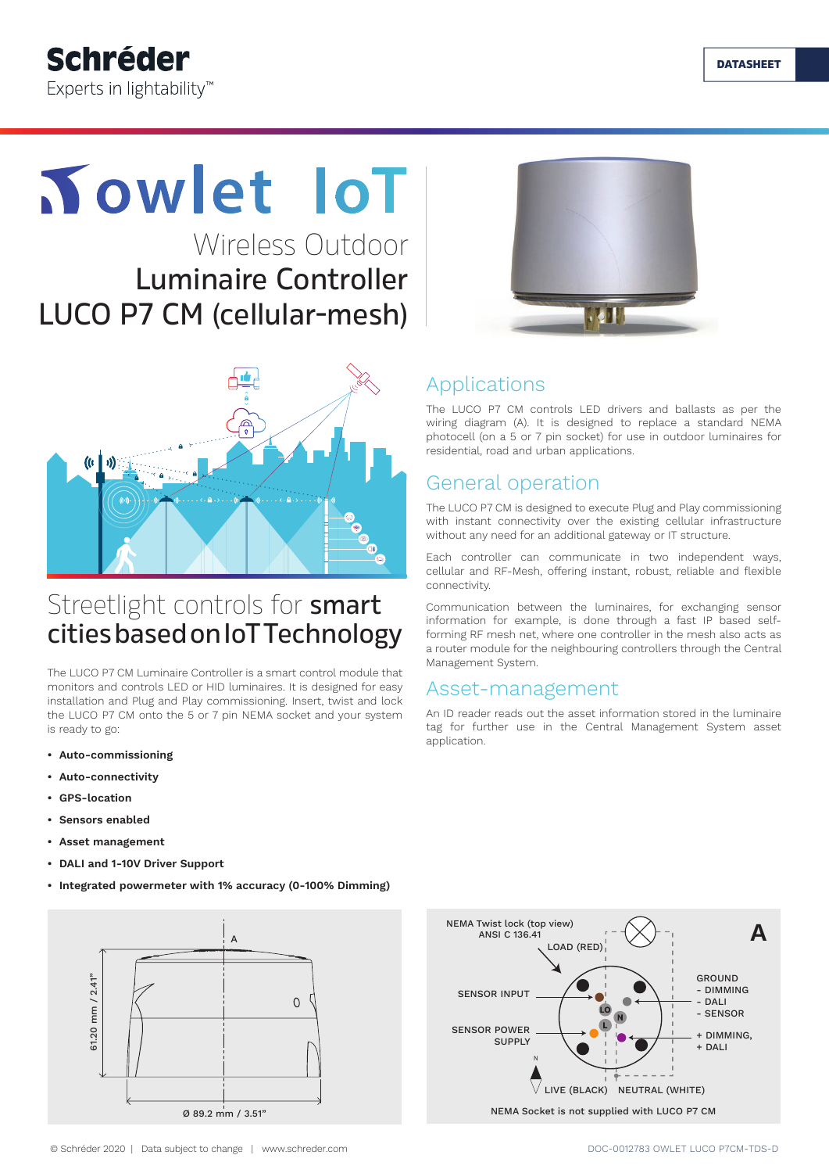

# **Towlet IoT**

Wireless Outdoor Luminaire Controller LUCO P7 CM (cellular-mesh)



# **小**

### Streetlight controls for smart cities based on IoT Technology

The LUCO P7 CM Luminaire Controller is a smart control module that monitors and controls LED or HID luminaires. It is designed for easy installation and Plug and Play commissioning. Insert, twist and lock the LUCO P7 CM onto the 5 or 7 pin NEMA socket and your system is ready to go:

- **• Auto-commissioning**
- **• Auto-connectivity**
- **• GPS-location**
- **• Sensors enabled**
- **• Asset management**
- **• DALI and 1-10V Driver Support**
- **• Integrated powermeter with 1% accuracy (0-100% Dimming)**



# Applications

The LUCO P7 CM controls LED drivers and ballasts as per the wiring diagram (A). It is designed to replace a standard NEMA photocell (on a 5 or 7 pin socket) for use in outdoor luminaires for residential, road and urban applications.

#### General operation

The LUCO P7 CM is designed to execute Plug and Play commissioning with instant connectivity over the existing cellular infrastructure without any need for an additional gateway or IT structure.

Each controller can communicate in two independent ways, cellular and RF-Mesh, offering instant, robust, reliable and flexible connectivity.

Communication between the luminaires, for exchanging sensor information for example, is done through a fast IP based selfforming RF mesh net, where one controller in the mesh also acts as a router module for the neighbouring controllers through the Central Management System.

#### Asset-management

An ID reader reads out the asset information stored in the luminaire tag for further use in the Central Management System asset application.